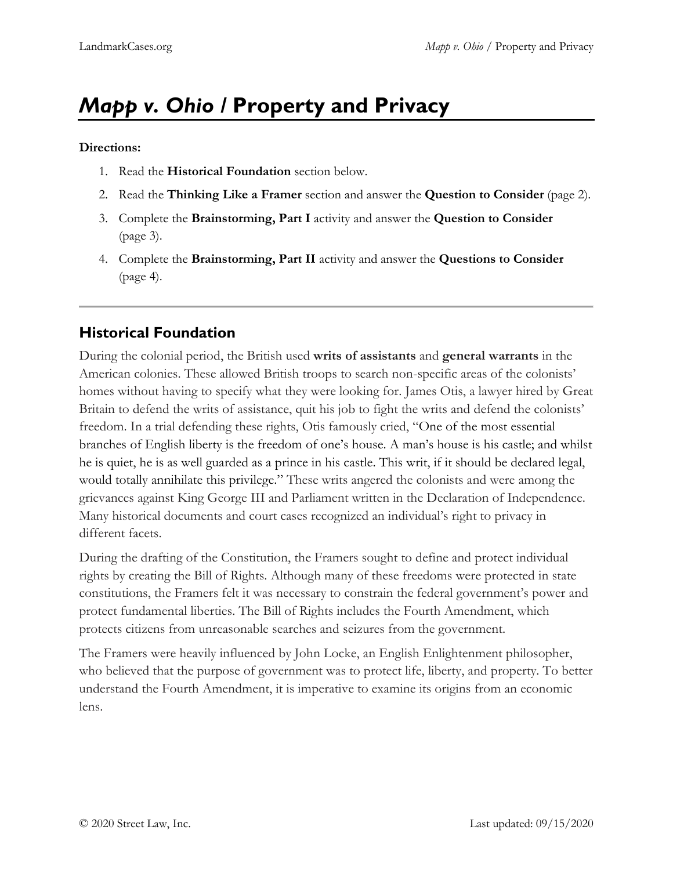# *Mapp v. Ohio /* **Property and Privacy**

#### **Directions:**

- 1. Read the **Historical Foundation** section below.
- 2. Read the **Thinking Like a Framer** section and answer the **Question to Consider** (page 2).
- 3. Complete the **Brainstorming, Part I** activity and answer the **Question to Consider** (page 3).
- 4. Complete the **Brainstorming, Part II** activity and answer the **Questions to Consider** (page 4).

### **Historical Foundation**

During the colonial period, the British used **writs of assistants** and **general warrants** in the American colonies. These allowed British troops to search non-specific areas of the colonists' homes without having to specify what they were looking for. James Otis, a lawyer hired by Great Britain to defend the writs of assistance, quit his job to fight the writs and defend the colonists' freedom. In a trial defending these rights, Otis famously cried, "One of the most essential branches of English liberty is the freedom of one's house. A man's house is his castle; and whilst he is quiet, he is as well guarded as a prince in his castle. This writ, if it should be declared legal, would totally annihilate this privilege." These writs angered the colonists and were among the grievances against King George III and Parliament written in the Declaration of Independence. Many historical documents and court cases recognized an individual's right to privacy in different facets.

During the drafting of the Constitution, the Framers sought to define and protect individual rights by creating the Bill of Rights. Although many of these freedoms were protected in state constitutions, the Framers felt it was necessary to constrain the federal government's power and protect fundamental liberties. The Bill of Rights includes the Fourth Amendment, which protects citizens from unreasonable searches and seizures from the government.

The Framers were heavily influenced by John Locke, an English Enlightenment philosopher, who believed that the purpose of government was to protect life, liberty, and property. To better understand the Fourth Amendment, it is imperative to examine its origins from an economic lens.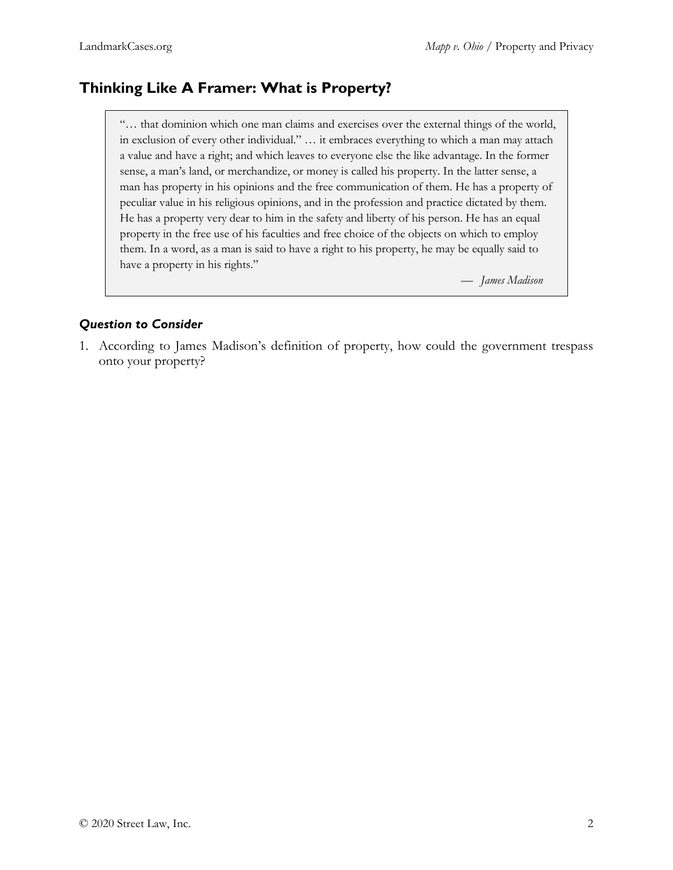## **Thinking Like A Framer: What is Property?**

"… that dominion which one man claims and exercises over the external things of the world, in exclusion of every other individual." … it embraces everything to which a man may attach a value and have a right; and which leaves to everyone else the like advantage. In the former sense, a man's land, or merchandize, or money is called his property. In the latter sense, a man has property in his opinions and the free communication of them. He has a property of peculiar value in his religious opinions, and in the profession and practice dictated by them. He has a property very dear to him in the safety and liberty of his person. He has an equal property in the free use of his faculties and free choice of the objects on which to employ them. In a word, as a man is said to have a right to his property, he may be equally said to have a property in his rights."

— *James Madison*

#### *Question to Consider*

1. According to James Madison's definition of property, how could the government trespass onto your property?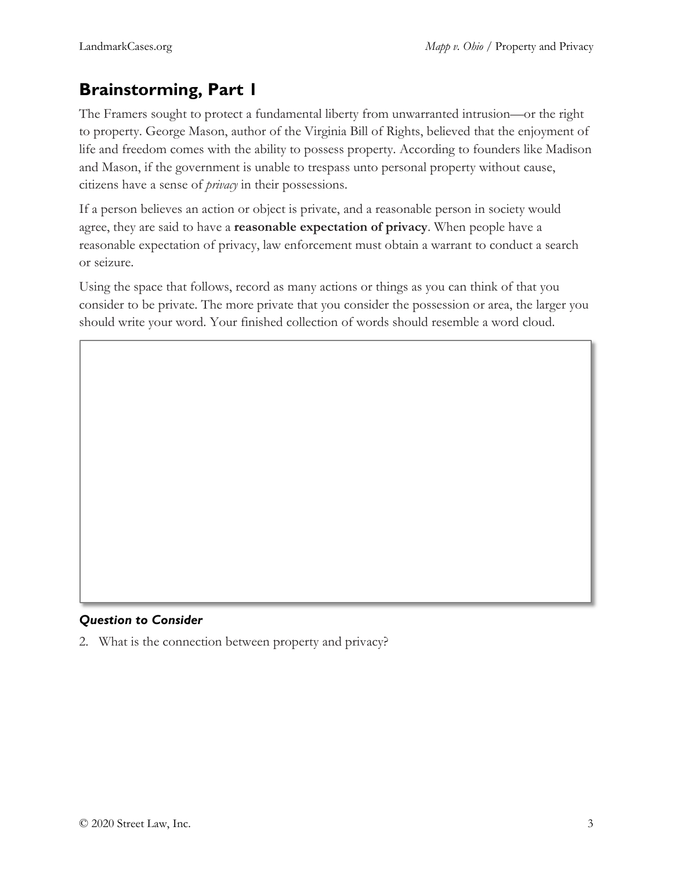# **Brainstorming, Part 1**

The Framers sought to protect a fundamental liberty from unwarranted intrusion—or the right to property. George Mason, author of the Virginia Bill of Rights, believed that the enjoyment of life and freedom comes with the ability to possess property. According to founders like Madison and Mason, if the government is unable to trespass unto personal property without cause, citizens have a sense of *privacy* in their possessions.

If a person believes an action or object is private, and a reasonable person in society would agree, they are said to have a **reasonable expectation of privacy**. When people have a reasonable expectation of privacy, law enforcement must obtain a warrant to conduct a search or seizure.

Using the space that follows, record as many actions or things as you can think of that you consider to be private. The more private that you consider the possession or area, the larger you should write your word. Your finished collection of words should resemble a word cloud.

### *Question to Consider*

2. What is the connection between property and privacy?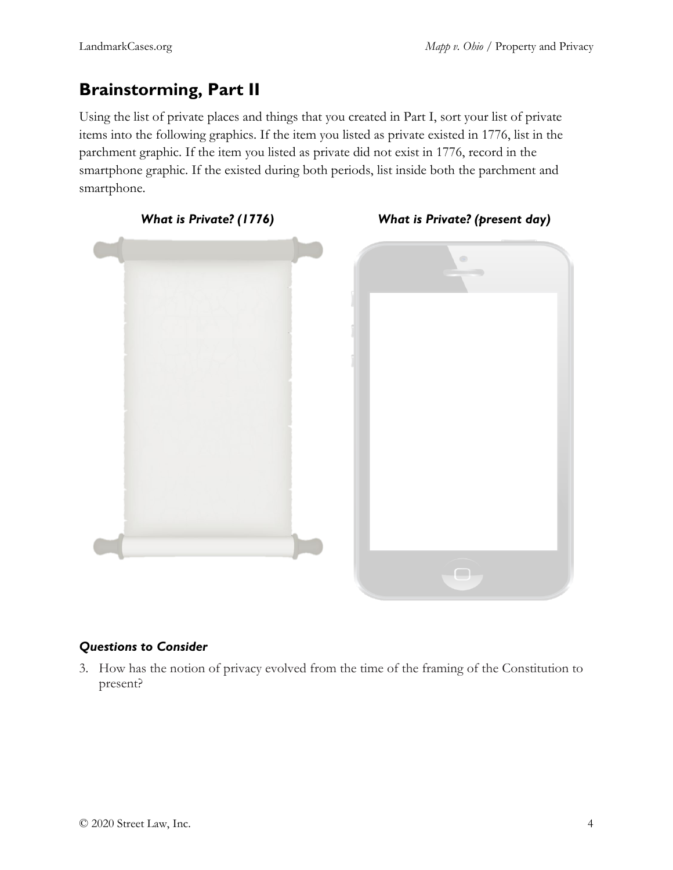# **Brainstorming, Part II**

Using the list of private places and things that you created in Part I, sort your list of private items into the following graphics. If the item you listed as private existed in 1776, list in the parchment graphic. If the item you listed as private did not exist in 1776, record in the smartphone graphic. If the existed during both periods, list inside both the parchment and smartphone.



#### *Questions to Consider*

3. How has the notion of privacy evolved from the time of the framing of the Constitution to present?